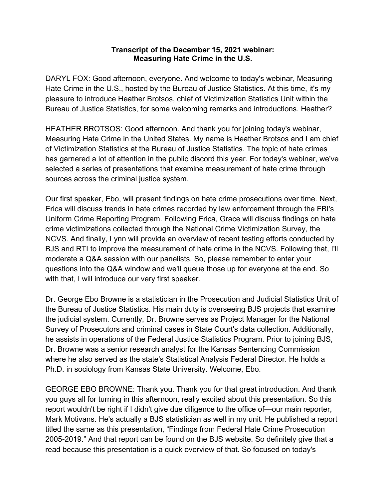## **Transcript of the December 15, 2021 webinar: Measuring Hate Crime in the U.S.**

DARYL FOX: Good afternoon, everyone. And welcome to today's webinar, Measuring Hate Crime in the U.S., hosted by the Bureau of Justice Statistics. At this time, it's my pleasure to introduce Heather Brotsos, chief of Victimization Statistics Unit within the Bureau of Justice Statistics, for some welcoming remarks and introductions. Heather?

HEATHER BROTSOS: Good afternoon. And thank you for joining today's webinar, Measuring Hate Crime in the United States. My name is Heather Brotsos and I am chief of Victimization Statistics at the Bureau of Justice Statistics. The topic of hate crimes has garnered a lot of attention in the public discord this year. For today's webinar, we've selected a series of presentations that examine measurement of hate crime through sources across the criminal justice system.

Our first speaker, Ebo, will present findings on hate crime prosecutions over time. Next, Erica will discuss trends in hate crimes recorded by law enforcement through the FBI's Uniform Crime Reporting Program. Following Erica, Grace will discuss findings on hate crime victimizations collected through the National Crime Victimization Survey, the NCVS. And finally, Lynn will provide an overview of recent testing efforts conducted by BJS and RTI to improve the measurement of hate crime in the NCVS. Following that, I'll moderate a Q&A session with our panelists. So, please remember to enter your questions into the Q&A window and we'll queue those up for everyone at the end. So with that, I will introduce our very first speaker.

Dr. George Ebo Browne is a statistician in the Prosecution and Judicial Statistics Unit of the Bureau of Justice Statistics. His main duty is overseeing BJS projects that examine the judicial system. Currently, Dr. Browne serves as Project Manager for the National Survey of Prosecutors and criminal cases in State Court's data collection. Additionally, he assists in operations of the Federal Justice Statistics Program. Prior to joining BJS, Dr. Browne was a senior research analyst for the Kansas Sentencing Commission where he also served as the state's Statistical Analysis Federal Director. He holds a Ph.D. in sociology from Kansas State University. Welcome, Ebo.

GEORGE EBO BROWNE: Thank you. Thank you for that great introduction. And thank you guys all for turning in this afternoon, really excited about this presentation. So this report wouldn't be right if I didn't give due diligence to the office of—our main reporter, Mark Motivans. He's actually a BJS statistician as well in my unit. He published a report titled the same as this presentation, "Findings from Federal Hate Crime Prosecution 2005-2019." And that report can be found on the BJS website. So definitely give that a read because this presentation is a quick overview of that. So focused on today's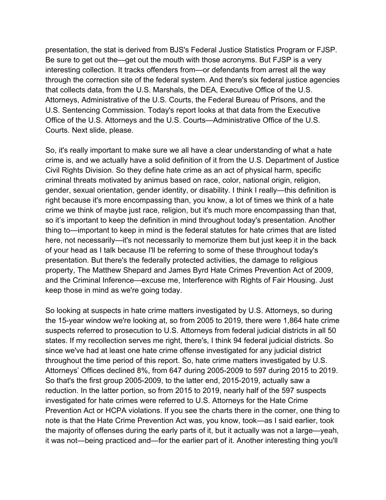presentation, the stat is derived from BJS's Federal Justice Statistics Program or FJSP. Be sure to get out the—get out the mouth with those acronyms. But FJSP is a very interesting collection. It tracks offenders from—or defendants from arrest all the way through the correction site of the federal system. And there's six federal justice agencies that collects data, from the U.S. Marshals, the DEA, Executive Office of the U.S. Attorneys, Administrative of the U.S. Courts, the Federal Bureau of Prisons, and the U.S. Sentencing Commission. Today's report looks at that data from the Executive Office of the U.S. Attorneys and the U.S. Courts—Administrative Office of the U.S. Courts. Next slide, please.

So, it's really important to make sure we all have a clear understanding of what a hate crime is, and we actually have a solid definition of it from the U.S. Department of Justice Civil Rights Division. So they define hate crime as an act of physical harm, specific criminal threats motivated by animus based on race, color, national origin, religion, gender, sexual orientation, gender identity, or disability. I think I really—this definition is right because it's more encompassing than, you know, a lot of times we think of a hate crime we think of maybe just race, religion, but it's much more encompassing than that, so it's important to keep the definition in mind throughout today's presentation. Another thing to—important to keep in mind is the federal statutes for hate crimes that are listed here, not necessarily—it's not necessarily to memorize them but just keep it in the back of your head as I talk because I'll be referring to some of these throughout today's presentation. But there's the federally protected activities, the damage to religious property, The Matthew Shepard and James Byrd Hate Crimes Prevention Act of 2009, and the Criminal Inference—excuse me, Interference with Rights of Fair Housing. Just keep those in mind as we're going today.

So looking at suspects in hate crime matters investigated by U.S. Attorneys, so during the 15-year window we're looking at, so from 2005 to 2019, there were 1,864 hate crime suspects referred to prosecution to U.S. Attorneys from federal judicial districts in all 50 states. If my recollection serves me right, there's, I think 94 federal judicial districts. So since we've had at least one hate crime offense investigated for any judicial district throughout the time period of this report. So, hate crime matters investigated by U.S. Attorneys' Offices declined 8%, from 647 during 2005-2009 to 597 during 2015 to 2019. So that's the first group 2005-2009, to the latter end, 2015-2019, actually saw a reduction. In the latter portion, so from 2015 to 2019, nearly half of the 597 suspects investigated for hate crimes were referred to U.S. Attorneys for the Hate Crime Prevention Act or HCPA violations. If you see the charts there in the corner, one thing to note is that the Hate Crime Prevention Act was, you know, took—as I said earlier, took the majority of offenses during the early parts of it, but it actually was not a large—yeah, it was not—being practiced and—for the earlier part of it. Another interesting thing you'll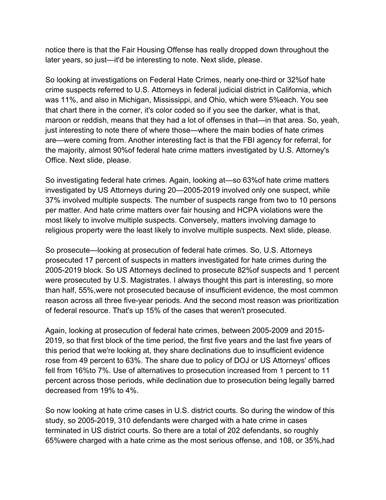notice there is that the Fair Housing Offense has really dropped down throughout the later years, so just—it'd be interesting to note. Next slide, please.

So looking at investigations on Federal Hate Crimes, nearly one-third or 32%of hate crime suspects referred to U.S. Attorneys in federal judicial district in California, which was 11%, and also in Michigan, Mississippi, and Ohio, which were 5%each. You see that chart there in the corner, it's color coded so if you see the darker, what is that, maroon or reddish, means that they had a lot of offenses in that—in that area. So, yeah, just interesting to note there of where those—where the main bodies of hate crimes are—were coming from. Another interesting fact is that the FBI agency for referral, for the majority, almost 90%of federal hate crime matters investigated by U.S. Attorney's Office. Next slide, please.

So investigating federal hate crimes. Again, looking at—so 63%of hate crime matters investigated by US Attorneys during 20—2005-2019 involved only one suspect, while 37% involved multiple suspects. The number of suspects range from two to 10 persons per matter. And hate crime matters over fair housing and HCPA violations were the most likely to involve multiple suspects. Conversely, matters involving damage to religious property were the least likely to involve multiple suspects. Next slide, please.

So prosecute—looking at prosecution of federal hate crimes. So, U.S. Attorneys prosecuted 17 percent of suspects in matters investigated for hate crimes during the 2005-2019 block. So US Attorneys declined to prosecute 82%of suspects and 1 percent were prosecuted by U.S. Magistrates. I always thought this part is interesting, so more than half, 55%,were not prosecuted because of insufficient evidence, the most common reason across all three five-year periods. And the second most reason was prioritization of federal resource. That's up 15% of the cases that weren't prosecuted.

Again, looking at prosecution of federal hate crimes, between 2005-2009 and 2015- 2019, so that first block of the time period, the first five years and the last five years of this period that we're looking at, they share declinations due to insufficient evidence rose from 49 percent to 63%. The share due to policy of DOJ or US Attorneys' offices fell from 16%to 7%. Use of alternatives to prosecution increased from 1 percent to 11 percent across those periods, while declination due to prosecution being legally barred decreased from 19% to 4%.

So now looking at hate crime cases in U.S. district courts. So during the window of this study, so 2005-2019, 310 defendants were charged with a hate crime in cases terminated in US district courts. So there are a total of 202 defendants, so roughly 65%were charged with a hate crime as the most serious offense, and 108, or 35%,had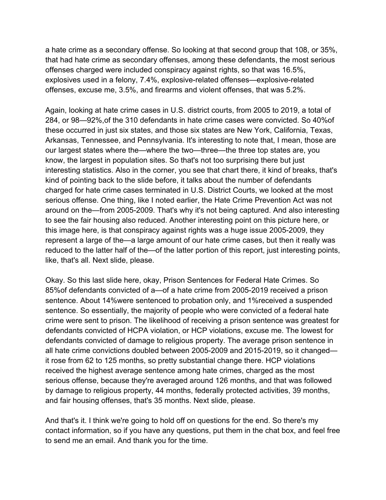a hate crime as a secondary offense. So looking at that second group that 108, or 35%, that had hate crime as secondary offenses, among these defendants, the most serious offenses charged were included conspiracy against rights, so that was 16.5%, explosives used in a felony, 7.4%, explosive-related offenses—explosive-related offenses, excuse me, 3.5%, and firearms and violent offenses, that was 5.2%.

Again, looking at hate crime cases in U.S. district courts, from 2005 to 2019, a total of 284, or 98—92%,of the 310 defendants in hate crime cases were convicted. So 40%of these occurred in just six states, and those six states are New York, California, Texas, Arkansas, Tennessee, and Pennsylvania. It's interesting to note that, I mean, those are our largest states where the—where the two—three—the three top states are, you know, the largest in population sites. So that's not too surprising there but just interesting statistics. Also in the corner, you see that chart there, it kind of breaks, that's kind of pointing back to the slide before, it talks about the number of defendants charged for hate crime cases terminated in U.S. District Courts, we looked at the most serious offense. One thing, like I noted earlier, the Hate Crime Prevention Act was not around on the—from 2005-2009. That's why it's not being captured. And also interesting to see the fair housing also reduced. Another interesting point on this picture here, or this image here, is that conspiracy against rights was a huge issue 2005-2009, they represent a large of the—a large amount of our hate crime cases, but then it really was reduced to the latter half of the—of the latter portion of this report, just interesting points, like, that's all. Next slide, please.

Okay. So this last slide here, okay, Prison Sentences for Federal Hate Crimes. So 85%of defendants convicted of a—of a hate crime from 2005-2019 received a prison sentence. About 14%were sentenced to probation only, and 1%received a suspended sentence. So essentially, the majority of people who were convicted of a federal hate crime were sent to prison. The likelihood of receiving a prison sentence was greatest for defendants convicted of HCPA violation, or HCP violations, excuse me. The lowest for defendants convicted of damage to religious property. The average prison sentence in all hate crime convictions doubled between 2005-2009 and 2015-2019, so it changed it rose from 62 to 125 months, so pretty substantial change there. HCP violations received the highest average sentence among hate crimes, charged as the most serious offense, because they're averaged around 126 months, and that was followed by damage to religious property, 44 months, federally protected activities, 39 months, and fair housing offenses, that's 35 months. Next slide, please.

And that's it. I think we're going to hold off on questions for the end. So there's my contact information, so if you have any questions, put them in the chat box, and feel free to send me an email. And thank you for the time.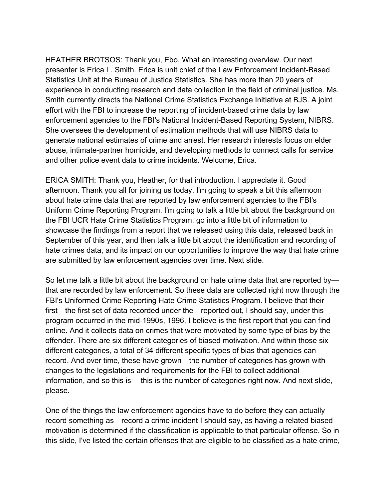HEATHER BROTSOS: Thank you, Ebo. What an interesting overview. Our next presenter is Erica L. Smith. Erica is unit chief of the Law Enforcement Incident-Based Statistics Unit at the Bureau of Justice Statistics. She has more than 20 years of experience in conducting research and data collection in the field of criminal justice. Ms. Smith currently directs the National Crime Statistics Exchange Initiative at BJS. A joint effort with the FBI to increase the reporting of incident-based crime data by law enforcement agencies to the FBI's National Incident-Based Reporting System, NIBRS. She oversees the development of estimation methods that will use NIBRS data to generate national estimates of crime and arrest. Her research interests focus on elder abuse, intimate-partner homicide, and developing methods to connect calls for service and other police event data to crime incidents. Welcome, Erica.

ERICA SMITH: Thank you, Heather, for that introduction. I appreciate it. Good afternoon. Thank you all for joining us today. I'm going to speak a bit this afternoon about hate crime data that are reported by law enforcement agencies to the FBI's Uniform Crime Reporting Program. I'm going to talk a little bit about the background on the FBI UCR Hate Crime Statistics Program, go into a little bit of information to showcase the findings from a report that we released using this data, released back in September of this year, and then talk a little bit about the identification and recording of hate crimes data, and its impact on our opportunities to improve the way that hate crime are submitted by law enforcement agencies over time. Next slide.

So let me talk a little bit about the background on hate crime data that are reported by that are recorded by law enforcement. So these data are collected right now through the FBI's Uniformed Crime Reporting Hate Crime Statistics Program. I believe that their first—the first set of data recorded under the—reported out, I should say, under this program occurred in the mid-1990s, 1996, I believe is the first report that you can find online. And it collects data on crimes that were motivated by some type of bias by the offender. There are six different categories of biased motivation. And within those six different categories, a total of 34 different specific types of bias that agencies can record. And over time, these have grown—the number of categories has grown with changes to the legislations and requirements for the FBI to collect additional information, and so this is— this is the number of categories right now. And next slide, please.

One of the things the law enforcement agencies have to do before they can actually record something as—record a crime incident I should say, as having a related biased motivation is determined if the classification is applicable to that particular offense. So in this slide, I've listed the certain offenses that are eligible to be classified as a hate crime,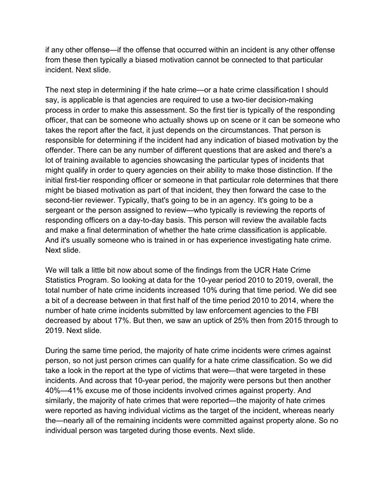if any other offense—if the offense that occurred within an incident is any other offense from these then typically a biased motivation cannot be connected to that particular incident. Next slide.

The next step in determining if the hate crime—or a hate crime classification I should say, is applicable is that agencies are required to use a two-tier decision-making process in order to make this assessment. So the first tier is typically of the responding officer, that can be someone who actually shows up on scene or it can be someone who takes the report after the fact, it just depends on the circumstances. That person is responsible for determining if the incident had any indication of biased motivation by the offender. There can be any number of different questions that are asked and there's a lot of training available to agencies showcasing the particular types of incidents that might qualify in order to query agencies on their ability to make those distinction. If the initial first-tier responding officer or someone in that particular role determines that there might be biased motivation as part of that incident, they then forward the case to the second-tier reviewer. Typically, that's going to be in an agency. It's going to be a sergeant or the person assigned to review—who typically is reviewing the reports of responding officers on a day-to-day basis. This person will review the available facts and make a final determination of whether the hate crime classification is applicable. And it's usually someone who is trained in or has experience investigating hate crime. Next slide.

We will talk a little bit now about some of the findings from the UCR Hate Crime Statistics Program. So looking at data for the 10-year period 2010 to 2019, overall, the total number of hate crime incidents increased 10% during that time period. We did see a bit of a decrease between in that first half of the time period 2010 to 2014, where the number of hate crime incidents submitted by law enforcement agencies to the FBI decreased by about 17%. But then, we saw an uptick of 25% then from 2015 through to 2019. Next slide.

During the same time period, the majority of hate crime incidents were crimes against person, so not just person crimes can qualify for a hate crime classification. So we did take a look in the report at the type of victims that were—that were targeted in these incidents. And across that 10-year period, the majority were persons but then another 40%—41% excuse me of those incidents involved crimes against property. And similarly, the majority of hate crimes that were reported—the majority of hate crimes were reported as having individual victims as the target of the incident, whereas nearly the—nearly all of the remaining incidents were committed against property alone. So no individual person was targeted during those events. Next slide.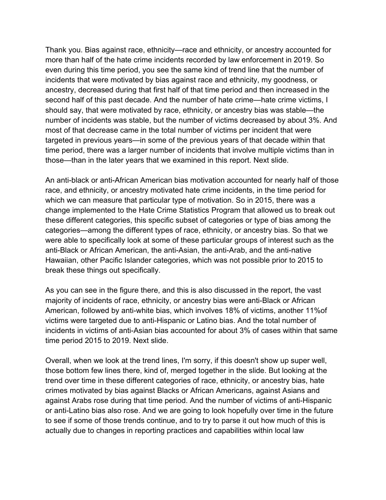Thank you. Bias against race, ethnicity—race and ethnicity, or ancestry accounted for more than half of the hate crime incidents recorded by law enforcement in 2019. So even during this time period, you see the same kind of trend line that the number of incidents that were motivated by bias against race and ethnicity, my goodness, or ancestry, decreased during that first half of that time period and then increased in the second half of this past decade. And the number of hate crime—hate crime victims, I should say, that were motivated by race, ethnicity, or ancestry bias was stable—the number of incidents was stable, but the number of victims decreased by about 3%. And most of that decrease came in the total number of victims per incident that were targeted in previous years—in some of the previous years of that decade within that time period, there was a larger number of incidents that involve multiple victims than in those—than in the later years that we examined in this report. Next slide.

An anti-black or anti-African American bias motivation accounted for nearly half of those race, and ethnicity, or ancestry motivated hate crime incidents, in the time period for which we can measure that particular type of motivation. So in 2015, there was a change implemented to the Hate Crime Statistics Program that allowed us to break out these different categories, this specific subset of categories or type of bias among the categories—among the different types of race, ethnicity, or ancestry bias. So that we were able to specifically look at some of these particular groups of interest such as the anti-Black or African American, the anti-Asian, the anti-Arab, and the anti-native Hawaiian, other Pacific Islander categories, which was not possible prior to 2015 to break these things out specifically.

As you can see in the figure there, and this is also discussed in the report, the vast majority of incidents of race, ethnicity, or ancestry bias were anti-Black or African American, followed by anti-white bias, which involves 18% of victims, another 11%of victims were targeted due to anti-Hispanic or Latino bias. And the total number of incidents in victims of anti-Asian bias accounted for about 3% of cases within that same time period 2015 to 2019. Next slide.

Overall, when we look at the trend lines, I'm sorry, if this doesn't show up super well, those bottom few lines there, kind of, merged together in the slide. But looking at the trend over time in these different categories of race, ethnicity, or ancestry bias, hate crimes motivated by bias against Blacks or African Americans, against Asians and against Arabs rose during that time period. And the number of victims of anti-Hispanic or anti-Latino bias also rose. And we are going to look hopefully over time in the future to see if some of those trends continue, and to try to parse it out how much of this is actually due to changes in reporting practices and capabilities within local law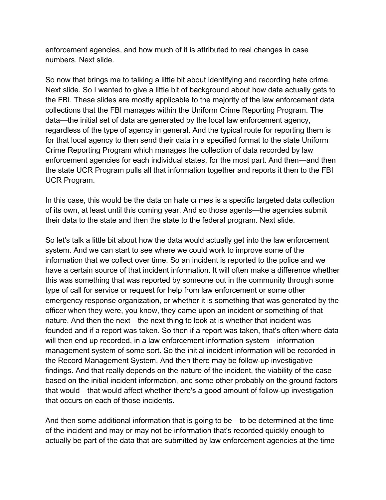enforcement agencies, and how much of it is attributed to real changes in case numbers. Next slide.

So now that brings me to talking a little bit about identifying and recording hate crime. Next slide. So I wanted to give a little bit of background about how data actually gets to the FBI. These slides are mostly applicable to the majority of the law enforcement data collections that the FBI manages within the Uniform Crime Reporting Program. The data—the initial set of data are generated by the local law enforcement agency, regardless of the type of agency in general. And the typical route for reporting them is for that local agency to then send their data in a specified format to the state Uniform Crime Reporting Program which manages the collection of data recorded by law enforcement agencies for each individual states, for the most part. And then—and then the state UCR Program pulls all that information together and reports it then to the FBI UCR Program.

In this case, this would be the data on hate crimes is a specific targeted data collection of its own, at least until this coming year. And so those agents—the agencies submit their data to the state and then the state to the federal program. Next slide.

So let's talk a little bit about how the data would actually get into the law enforcement system. And we can start to see where we could work to improve some of the information that we collect over time. So an incident is reported to the police and we have a certain source of that incident information. It will often make a difference whether this was something that was reported by someone out in the community through some type of call for service or request for help from law enforcement or some other emergency response organization, or whether it is something that was generated by the officer when they were, you know, they came upon an incident or something of that nature. And then the next—the next thing to look at is whether that incident was founded and if a report was taken. So then if a report was taken, that's often where data will then end up recorded, in a law enforcement information system—information management system of some sort. So the initial incident information will be recorded in the Record Management System. And then there may be follow-up investigative findings. And that really depends on the nature of the incident, the viability of the case based on the initial incident information, and some other probably on the ground factors that would—that would affect whether there's a good amount of follow-up investigation that occurs on each of those incidents.

And then some additional information that is going to be—to be determined at the time of the incident and may or may not be information that's recorded quickly enough to actually be part of the data that are submitted by law enforcement agencies at the time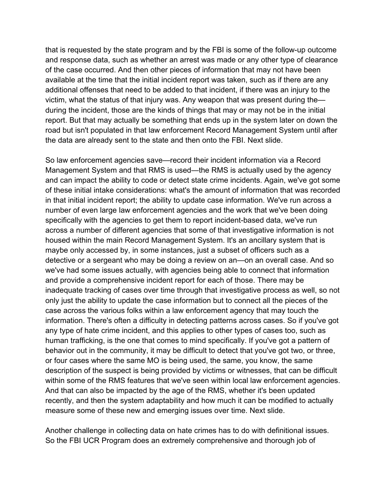that is requested by the state program and by the FBI is some of the follow-up outcome and response data, such as whether an arrest was made or any other type of clearance of the case occurred. And then other pieces of information that may not have been available at the time that the initial incident report was taken, such as if there are any additional offenses that need to be added to that incident, if there was an injury to the victim, what the status of that injury was. Any weapon that was present during the during the incident, those are the kinds of things that may or may not be in the initial report. But that may actually be something that ends up in the system later on down the road but isn't populated in that law enforcement Record Management System until after the data are already sent to the state and then onto the FBI. Next slide.

So law enforcement agencies save—record their incident information via a Record Management System and that RMS is used—the RMS is actually used by the agency and can impact the ability to code or detect state crime incidents. Again, we've got some of these initial intake considerations: what's the amount of information that was recorded in that initial incident report; the ability to update case information. We've run across a number of even large law enforcement agencies and the work that we've been doing specifically with the agencies to get them to report incident-based data, we've run across a number of different agencies that some of that investigative information is not housed within the main Record Management System. It's an ancillary system that is maybe only accessed by, in some instances, just a subset of officers such as a detective or a sergeant who may be doing a review on an—on an overall case. And so we've had some issues actually, with agencies being able to connect that information and provide a comprehensive incident report for each of those. There may be inadequate tracking of cases over time through that investigative process as well, so not only just the ability to update the case information but to connect all the pieces of the case across the various folks within a law enforcement agency that may touch the information. There's often a difficulty in detecting patterns across cases. So if you've got any type of hate crime incident, and this applies to other types of cases too, such as human trafficking, is the one that comes to mind specifically. If you've got a pattern of behavior out in the community, it may be difficult to detect that you've got two, or three, or four cases where the same MO is being used, the same, you know, the same description of the suspect is being provided by victims or witnesses, that can be difficult within some of the RMS features that we've seen within local law enforcement agencies. And that can also be impacted by the age of the RMS, whether it's been updated recently, and then the system adaptability and how much it can be modified to actually measure some of these new and emerging issues over time. Next slide.

Another challenge in collecting data on hate crimes has to do with definitional issues. So the FBI UCR Program does an extremely comprehensive and thorough job of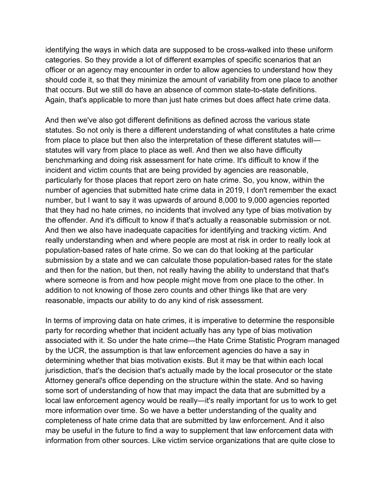identifying the ways in which data are supposed to be cross-walked into these uniform categories. So they provide a lot of different examples of specific scenarios that an officer or an agency may encounter in order to allow agencies to understand how they should code it, so that they minimize the amount of variability from one place to another that occurs. But we still do have an absence of common state-to-state definitions. Again, that's applicable to more than just hate crimes but does affect hate crime data.

And then we've also got different definitions as defined across the various state statutes. So not only is there a different understanding of what constitutes a hate crime from place to place but then also the interpretation of these different statutes will statutes will vary from place to place as well. And then we also have difficulty benchmarking and doing risk assessment for hate crime. It's difficult to know if the incident and victim counts that are being provided by agencies are reasonable, particularly for those places that report zero on hate crime. So, you know, within the number of agencies that submitted hate crime data in 2019, I don't remember the exact number, but I want to say it was upwards of around 8,000 to 9,000 agencies reported that they had no hate crimes, no incidents that involved any type of bias motivation by the offender. And it's difficult to know if that's actually a reasonable submission or not. And then we also have inadequate capacities for identifying and tracking victim. And really understanding when and where people are most at risk in order to really look at population-based rates of hate crime. So we can do that looking at the particular submission by a state and we can calculate those population-based rates for the state and then for the nation, but then, not really having the ability to understand that that's where someone is from and how people might move from one place to the other. In addition to not knowing of those zero counts and other things like that are very reasonable, impacts our ability to do any kind of risk assessment.

In terms of improving data on hate crimes, it is imperative to determine the responsible party for recording whether that incident actually has any type of bias motivation associated with it. So under the hate crime—the Hate Crime Statistic Program managed by the UCR, the assumption is that law enforcement agencies do have a say in determining whether that bias motivation exists. But it may be that within each local jurisdiction, that's the decision that's actually made by the local prosecutor or the state Attorney general's office depending on the structure within the state. And so having some sort of understanding of how that may impact the data that are submitted by a local law enforcement agency would be really—it's really important for us to work to get more information over time. So we have a better understanding of the quality and completeness of hate crime data that are submitted by law enforcement. And it also may be useful in the future to find a way to supplement that law enforcement data with information from other sources. Like victim service organizations that are quite close to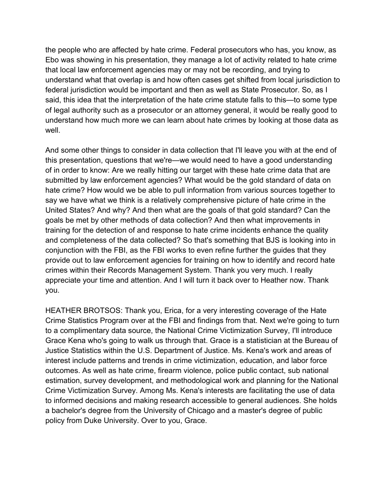the people who are affected by hate crime. Federal prosecutors who has, you know, as Ebo was showing in his presentation, they manage a lot of activity related to hate crime that local law enforcement agencies may or may not be recording, and trying to understand what that overlap is and how often cases get shifted from local jurisdiction to federal jurisdiction would be important and then as well as State Prosecutor. So, as I said, this idea that the interpretation of the hate crime statute falls to this—to some type of legal authority such as a prosecutor or an attorney general, it would be really good to understand how much more we can learn about hate crimes by looking at those data as well.

And some other things to consider in data collection that I'll leave you with at the end of this presentation, questions that we're—we would need to have a good understanding of in order to know: Are we really hitting our target with these hate crime data that are submitted by law enforcement agencies? What would be the gold standard of data on hate crime? How would we be able to pull information from various sources together to say we have what we think is a relatively comprehensive picture of hate crime in the United States? And why? And then what are the goals of that gold standard? Can the goals be met by other methods of data collection? And then what improvements in training for the detection of and response to hate crime incidents enhance the quality and completeness of the data collected? So that's something that BJS is looking into in conjunction with the FBI, as the FBI works to even refine further the guides that they provide out to law enforcement agencies for training on how to identify and record hate crimes within their Records Management System. Thank you very much. I really appreciate your time and attention. And I will turn it back over to Heather now. Thank you.

HEATHER BROTSOS: Thank you, Erica, for a very interesting coverage of the Hate Crime Statistics Program over at the FBI and findings from that. Next we're going to turn to a complimentary data source, the National Crime Victimization Survey, I'll introduce Grace Kena who's going to walk us through that. Grace is a statistician at the Bureau of Justice Statistics within the U.S. Department of Justice. Ms. Kena's work and areas of interest include patterns and trends in crime victimization, education, and labor force outcomes. As well as hate crime, firearm violence, police public contact, sub national estimation, survey development, and methodological work and planning for the National Crime Victimization Survey. Among Ms. Kena's interests are facilitating the use of data to informed decisions and making research accessible to general audiences. She holds a bachelor's degree from the University of Chicago and a master's degree of public policy from Duke University. Over to you, Grace.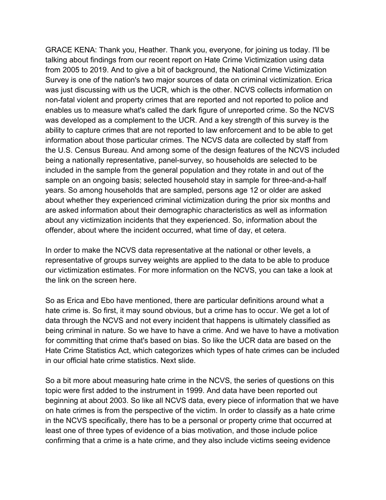GRACE KENA: Thank you, Heather. Thank you, everyone, for joining us today. I'll be talking about findings from our recent report on Hate Crime Victimization using data from 2005 to 2019. And to give a bit of background, the National Crime Victimization Survey is one of the nation's two major sources of data on criminal victimization. Erica was just discussing with us the UCR, which is the other. NCVS collects information on non-fatal violent and property crimes that are reported and not reported to police and enables us to measure what's called the dark figure of unreported crime. So the NCVS was developed as a complement to the UCR. And a key strength of this survey is the ability to capture crimes that are not reported to law enforcement and to be able to get information about those particular crimes. The NCVS data are collected by staff from the U.S. Census Bureau. And among some of the design features of the NCVS included being a nationally representative, panel-survey, so households are selected to be included in the sample from the general population and they rotate in and out of the sample on an ongoing basis; selected household stay in sample for three-and-a-half years. So among households that are sampled, persons age 12 or older are asked about whether they experienced criminal victimization during the prior six months and are asked information about their demographic characteristics as well as information about any victimization incidents that they experienced. So, information about the offender, about where the incident occurred, what time of day, et cetera.

In order to make the NCVS data representative at the national or other levels, a representative of groups survey weights are applied to the data to be able to produce our victimization estimates. For more information on the NCVS, you can take a look at the link on the screen here.

So as Erica and Ebo have mentioned, there are particular definitions around what a hate crime is. So first, it may sound obvious, but a crime has to occur. We get a lot of data through the NCVS and not every incident that happens is ultimately classified as being criminal in nature. So we have to have a crime. And we have to have a motivation for committing that crime that's based on bias. So like the UCR data are based on the Hate Crime Statistics Act, which categorizes which types of hate crimes can be included in our official hate crime statistics. Next slide.

So a bit more about measuring hate crime in the NCVS, the series of questions on this topic were first added to the instrument in 1999. And data have been reported out beginning at about 2003. So like all NCVS data, every piece of information that we have on hate crimes is from the perspective of the victim. In order to classify as a hate crime in the NCVS specifically, there has to be a personal or property crime that occurred at least one of three types of evidence of a bias motivation, and those include police confirming that a crime is a hate crime, and they also include victims seeing evidence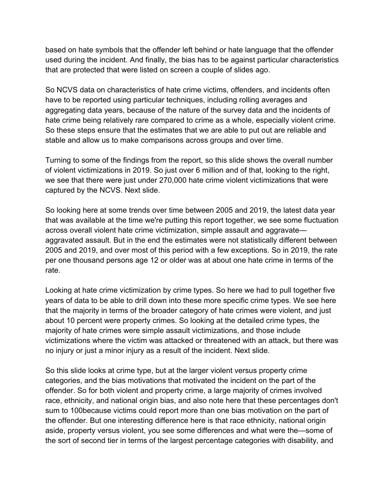based on hate symbols that the offender left behind or hate language that the offender used during the incident. And finally, the bias has to be against particular characteristics that are protected that were listed on screen a couple of slides ago.

So NCVS data on characteristics of hate crime victims, offenders, and incidents often have to be reported using particular techniques, including rolling averages and aggregating data years, because of the nature of the survey data and the incidents of hate crime being relatively rare compared to crime as a whole, especially violent crime. So these steps ensure that the estimates that we are able to put out are reliable and stable and allow us to make comparisons across groups and over time.

Turning to some of the findings from the report, so this slide shows the overall number of violent victimizations in 2019. So just over 6 million and of that, looking to the right, we see that there were just under 270,000 hate crime violent victimizations that were captured by the NCVS. Next slide.

So looking here at some trends over time between 2005 and 2019, the latest data year that was available at the time we're putting this report together, we see some fluctuation across overall violent hate crime victimization, simple assault and aggravate aggravated assault. But in the end the estimates were not statistically different between 2005 and 2019, and over most of this period with a few exceptions. So in 2019, the rate per one thousand persons age 12 or older was at about one hate crime in terms of the rate.

Looking at hate crime victimization by crime types. So here we had to pull together five years of data to be able to drill down into these more specific crime types. We see here that the majority in terms of the broader category of hate crimes were violent, and just about 10 percent were property crimes. So looking at the detailed crime types, the majority of hate crimes were simple assault victimizations, and those include victimizations where the victim was attacked or threatened with an attack, but there was no injury or just a minor injury as a result of the incident. Next slide.

So this slide looks at crime type, but at the larger violent versus property crime categories, and the bias motivations that motivated the incident on the part of the offender. So for both violent and property crime, a large majority of crimes involved race, ethnicity, and national origin bias, and also note here that these percentages don't sum to 100because victims could report more than one bias motivation on the part of the offender. But one interesting difference here is that race ethnicity, national origin aside, property versus violent, you see some differences and what were the—some of the sort of second tier in terms of the largest percentage categories with disability, and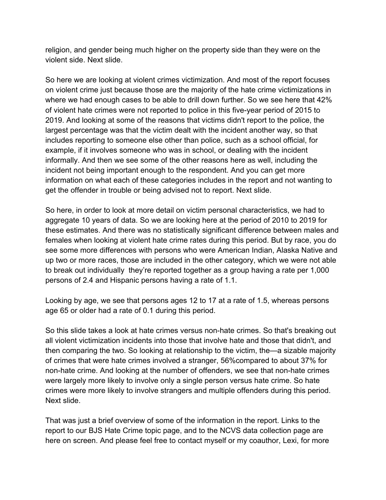religion, and gender being much higher on the property side than they were on the violent side. Next slide.

So here we are looking at violent crimes victimization. And most of the report focuses on violent crime just because those are the majority of the hate crime victimizations in where we had enough cases to be able to drill down further. So we see here that 42% of violent hate crimes were not reported to police in this five-year period of 2015 to 2019. And looking at some of the reasons that victims didn't report to the police, the largest percentage was that the victim dealt with the incident another way, so that includes reporting to someone else other than police, such as a school official, for example, if it involves someone who was in school, or dealing with the incident informally. And then we see some of the other reasons here as well, including the incident not being important enough to the respondent. And you can get more information on what each of these categories includes in the report and not wanting to get the offender in trouble or being advised not to report. Next slide.

So here, in order to look at more detail on victim personal characteristics, we had to aggregate 10 years of data. So we are looking here at the period of 2010 to 2019 for these estimates. And there was no statistically significant difference between males and females when looking at violent hate crime rates during this period. But by race, you do see some more differences with persons who were American Indian, Alaska Native and up two or more races, those are included in the other category, which we were not able to break out individually they're reported together as a group having a rate per 1,000 persons of 2.4 and Hispanic persons having a rate of 1.1.

Looking by age, we see that persons ages 12 to 17 at a rate of 1.5, whereas persons age 65 or older had a rate of 0.1 during this period.

So this slide takes a look at hate crimes versus non-hate crimes. So that's breaking out all violent victimization incidents into those that involve hate and those that didn't, and then comparing the two. So looking at relationship to the victim, the—a sizable majority of crimes that were hate crimes involved a stranger, 56%compared to about 37% for non-hate crime. And looking at the number of offenders, we see that non-hate crimes were largely more likely to involve only a single person versus hate crime. So hate crimes were more likely to involve strangers and multiple offenders during this period. Next slide.

That was just a brief overview of some of the information in the report. Links to the report to our BJS Hate Crime topic page, and to the NCVS data collection page are here on screen. And please feel free to contact myself or my coauthor, Lexi, for more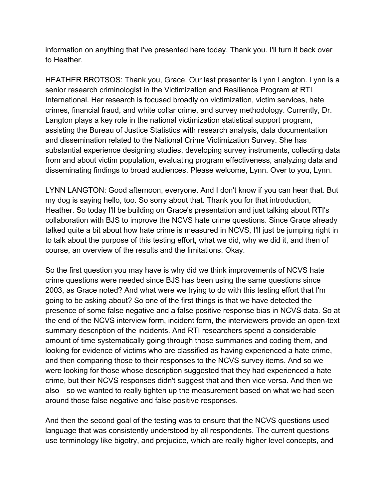information on anything that I've presented here today. Thank you. I'll turn it back over to Heather.

HEATHER BROTSOS: Thank you, Grace. Our last presenter is Lynn Langton. Lynn is a senior research criminologist in the Victimization and Resilience Program at RTI International. Her research is focused broadly on victimization, victim services, hate crimes, financial fraud, and white collar crime, and survey methodology. Currently, Dr. Langton plays a key role in the national victimization statistical support program, assisting the Bureau of Justice Statistics with research analysis, data documentation and dissemination related to the National Crime Victimization Survey. She has substantial experience designing studies, developing survey instruments, collecting data from and about victim population, evaluating program effectiveness, analyzing data and disseminating findings to broad audiences. Please welcome, Lynn. Over to you, Lynn.

LYNN LANGTON: Good afternoon, everyone. And I don't know if you can hear that. But my dog is saying hello, too. So sorry about that. Thank you for that introduction, Heather. So today I'll be building on Grace's presentation and just talking about RTI's collaboration with BJS to improve the NCVS hate crime questions. Since Grace already talked quite a bit about how hate crime is measured in NCVS, I'll just be jumping right in to talk about the purpose of this testing effort, what we did, why we did it, and then of course, an overview of the results and the limitations. Okay.

So the first question you may have is why did we think improvements of NCVS hate crime questions were needed since BJS has been using the same questions since 2003, as Grace noted? And what were we trying to do with this testing effort that I'm going to be asking about? So one of the first things is that we have detected the presence of some false negative and a false positive response bias in NCVS data. So at the end of the NCVS interview form, incident form, the interviewers provide an open-text summary description of the incidents. And RTI researchers spend a considerable amount of time systematically going through those summaries and coding them, and looking for evidence of victims who are classified as having experienced a hate crime, and then comparing those to their responses to the NCVS survey items. And so we were looking for those whose description suggested that they had experienced a hate crime, but their NCVS responses didn't suggest that and then vice versa. And then we also—so we wanted to really tighten up the measurement based on what we had seen around those false negative and false positive responses.

And then the second goal of the testing was to ensure that the NCVS questions used language that was consistently understood by all respondents. The current questions use terminology like bigotry, and prejudice, which are really higher level concepts, and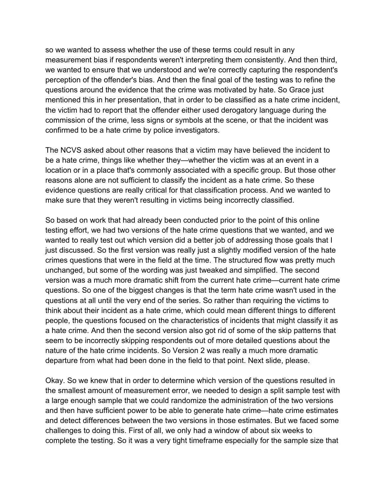so we wanted to assess whether the use of these terms could result in any measurement bias if respondents weren't interpreting them consistently. And then third, we wanted to ensure that we understood and we're correctly capturing the respondent's perception of the offender's bias. And then the final goal of the testing was to refine the questions around the evidence that the crime was motivated by hate. So Grace just mentioned this in her presentation, that in order to be classified as a hate crime incident, the victim had to report that the offender either used derogatory language during the commission of the crime, less signs or symbols at the scene, or that the incident was confirmed to be a hate crime by police investigators.

The NCVS asked about other reasons that a victim may have believed the incident to be a hate crime, things like whether they—whether the victim was at an event in a location or in a place that's commonly associated with a specific group. But those other reasons alone are not sufficient to classify the incident as a hate crime. So these evidence questions are really critical for that classification process. And we wanted to make sure that they weren't resulting in victims being incorrectly classified.

So based on work that had already been conducted prior to the point of this online testing effort, we had two versions of the hate crime questions that we wanted, and we wanted to really test out which version did a better job of addressing those goals that I just discussed. So the first version was really just a slightly modified version of the hate crimes questions that were in the field at the time. The structured flow was pretty much unchanged, but some of the wording was just tweaked and simplified. The second version was a much more dramatic shift from the current hate crime—current hate crime questions. So one of the biggest changes is that the term hate crime wasn't used in the questions at all until the very end of the series. So rather than requiring the victims to think about their incident as a hate crime, which could mean different things to different people, the questions focused on the characteristics of incidents that might classify it as a hate crime. And then the second version also got rid of some of the skip patterns that seem to be incorrectly skipping respondents out of more detailed questions about the nature of the hate crime incidents. So Version 2 was really a much more dramatic departure from what had been done in the field to that point. Next slide, please.

Okay. So we knew that in order to determine which version of the questions resulted in the smallest amount of measurement error, we needed to design a split sample test with a large enough sample that we could randomize the administration of the two versions and then have sufficient power to be able to generate hate crime—hate crime estimates and detect differences between the two versions in those estimates. But we faced some challenges to doing this. First of all, we only had a window of about six weeks to complete the testing. So it was a very tight timeframe especially for the sample size that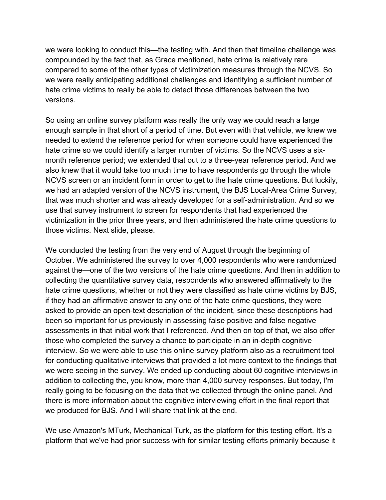we were looking to conduct this—the testing with. And then that timeline challenge was compounded by the fact that, as Grace mentioned, hate crime is relatively rare compared to some of the other types of victimization measures through the NCVS. So we were really anticipating additional challenges and identifying a sufficient number of hate crime victims to really be able to detect those differences between the two versions.

So using an online survey platform was really the only way we could reach a large enough sample in that short of a period of time. But even with that vehicle, we knew we needed to extend the reference period for when someone could have experienced the hate crime so we could identify a larger number of victims. So the NCVS uses a sixmonth reference period; we extended that out to a three-year reference period. And we also knew that it would take too much time to have respondents go through the whole NCVS screen or an incident form in order to get to the hate crime questions. But luckily, we had an adapted version of the NCVS instrument, the BJS Local-Area Crime Survey, that was much shorter and was already developed for a self-administration. And so we use that survey instrument to screen for respondents that had experienced the victimization in the prior three years, and then administered the hate crime questions to those victims. Next slide, please.

We conducted the testing from the very end of August through the beginning of October. We administered the survey to over 4,000 respondents who were randomized against the—one of the two versions of the hate crime questions. And then in addition to collecting the quantitative survey data, respondents who answered affirmatively to the hate crime questions, whether or not they were classified as hate crime victims by BJS, if they had an affirmative answer to any one of the hate crime questions, they were asked to provide an open-text description of the incident, since these descriptions had been so important for us previously in assessing false positive and false negative assessments in that initial work that I referenced. And then on top of that, we also offer those who completed the survey a chance to participate in an in-depth cognitive interview. So we were able to use this online survey platform also as a recruitment tool for conducting qualitative interviews that provided a lot more context to the findings that we were seeing in the survey. We ended up conducting about 60 cognitive interviews in addition to collecting the, you know, more than 4,000 survey responses. But today, I'm really going to be focusing on the data that we collected through the online panel. And there is more information about the cognitive interviewing effort in the final report that we produced for BJS. And I will share that link at the end.

We use Amazon's MTurk, Mechanical Turk, as the platform for this testing effort. It's a platform that we've had prior success with for similar testing efforts primarily because it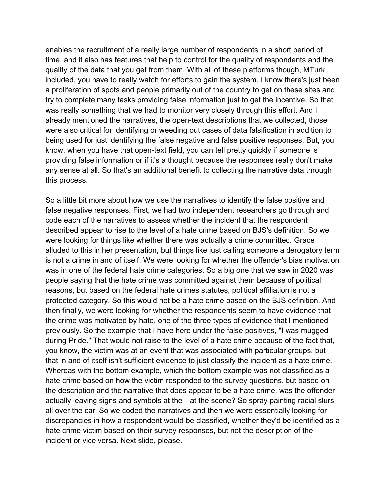enables the recruitment of a really large number of respondents in a short period of time, and it also has features that help to control for the quality of respondents and the quality of the data that you get from them. With all of these platforms though, MTurk included, you have to really watch for efforts to gain the system. I know there's just been a proliferation of spots and people primarily out of the country to get on these sites and try to complete many tasks providing false information just to get the incentive. So that was really something that we had to monitor very closely through this effort. And I already mentioned the narratives, the open-text descriptions that we collected, those were also critical for identifying or weeding out cases of data falsification in addition to being used for just identifying the false negative and false positive responses. But, you know, when you have that open-text field, you can tell pretty quickly if someone is providing false information or if it's a thought because the responses really don't make any sense at all. So that's an additional benefit to collecting the narrative data through this process.

So a little bit more about how we use the narratives to identify the false positive and false negative responses. First, we had two independent researchers go through and code each of the narratives to assess whether the incident that the respondent described appear to rise to the level of a hate crime based on BJS's definition. So we were looking for things like whether there was actually a crime committed. Grace alluded to this in her presentation, but things like just calling someone a derogatory term is not a crime in and of itself. We were looking for whether the offender's bias motivation was in one of the federal hate crime categories. So a big one that we saw in 2020 was people saying that the hate crime was committed against them because of political reasons, but based on the federal hate crimes statutes, political affiliation is not a protected category. So this would not be a hate crime based on the BJS definition. And then finally, we were looking for whether the respondents seem to have evidence that the crime was motivated by hate, one of the three types of evidence that I mentioned previously. So the example that I have here under the false positives, "I was mugged during Pride." That would not raise to the level of a hate crime because of the fact that, you know, the victim was at an event that was associated with particular groups, but that in and of itself isn't sufficient evidence to just classify the incident as a hate crime. Whereas with the bottom example, which the bottom example was not classified as a hate crime based on how the victim responded to the survey questions, but based on the description and the narrative that does appear to be a hate crime, was the offender actually leaving signs and symbols at the—at the scene? So spray painting racial slurs all over the car. So we coded the narratives and then we were essentially looking for discrepancies in how a respondent would be classified, whether they'd be identified as a hate crime victim based on their survey responses, but not the description of the incident or vice versa. Next slide, please.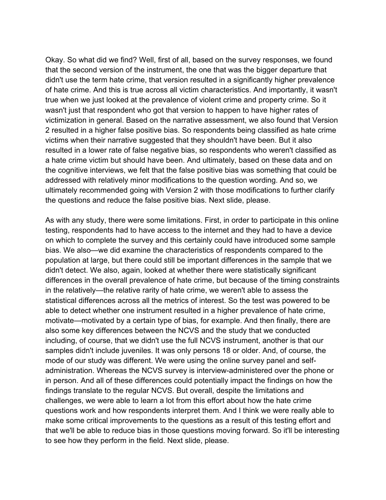Okay. So what did we find? Well, first of all, based on the survey responses, we found that the second version of the instrument, the one that was the bigger departure that didn't use the term hate crime, that version resulted in a significantly higher prevalence of hate crime. And this is true across all victim characteristics. And importantly, it wasn't true when we just looked at the prevalence of violent crime and property crime. So it wasn't just that respondent who got that version to happen to have higher rates of victimization in general. Based on the narrative assessment, we also found that Version 2 resulted in a higher false positive bias. So respondents being classified as hate crime victims when their narrative suggested that they shouldn't have been. But it also resulted in a lower rate of false negative bias, so respondents who weren't classified as a hate crime victim but should have been. And ultimately, based on these data and on the cognitive interviews, we felt that the false positive bias was something that could be addressed with relatively minor modifications to the question wording. And so, we ultimately recommended going with Version 2 with those modifications to further clarify the questions and reduce the false positive bias. Next slide, please.

As with any study, there were some limitations. First, in order to participate in this online testing, respondents had to have access to the internet and they had to have a device on which to complete the survey and this certainly could have introduced some sample bias. We also—we did examine the characteristics of respondents compared to the population at large, but there could still be important differences in the sample that we didn't detect. We also, again, looked at whether there were statistically significant differences in the overall prevalence of hate crime, but because of the timing constraints in the relatively—the relative rarity of hate crime, we weren't able to assess the statistical differences across all the metrics of interest. So the test was powered to be able to detect whether one instrument resulted in a higher prevalence of hate crime, motivate—motivated by a certain type of bias, for example. And then finally, there are also some key differences between the NCVS and the study that we conducted including, of course, that we didn't use the full NCVS instrument, another is that our samples didn't include juveniles. It was only persons 18 or older. And, of course, the mode of our study was different. We were using the online survey panel and selfadministration. Whereas the NCVS survey is interview-administered over the phone or in person. And all of these differences could potentially impact the findings on how the findings translate to the regular NCVS. But overall, despite the limitations and challenges, we were able to learn a lot from this effort about how the hate crime questions work and how respondents interpret them. And I think we were really able to make some critical improvements to the questions as a result of this testing effort and that we'll be able to reduce bias in those questions moving forward. So it'll be interesting to see how they perform in the field. Next slide, please.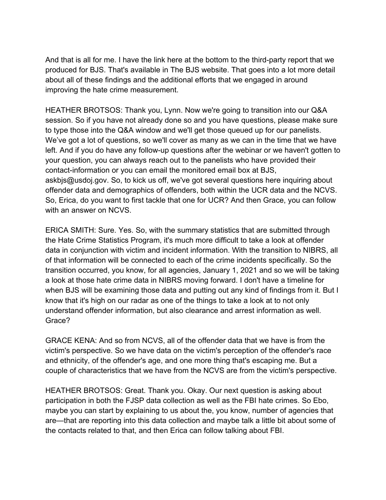And that is all for me. I have the link here at the bottom to the third-party report that we produced for BJS. That's available in The BJS website. That goes into a lot more detail about all of these findings and the additional efforts that we engaged in around improving the hate crime measurement.

HEATHER BROTSOS: Thank you, Lynn. Now we're going to transition into our Q&A session. So if you have not already done so and you have questions, please make sure to type those into the Q&A window and we'll get those queued up for our panelists. We've got a lot of questions, so we'll cover as many as we can in the time that we have left. And if you do have any follow-up questions after the webinar or we haven't gotten to your question, you can always reach out to the panelists who have provided their contact-information or you can email the monitored email box at BJS, askbjs@usdoj.gov. So, to kick us off, we've got several questions here inquiring about offender data and demographics of offenders, both within the UCR data and the NCVS. So, Erica, do you want to first tackle that one for UCR? And then Grace, you can follow with an answer on NCVS.

ERICA SMITH: Sure. Yes. So, with the summary statistics that are submitted through the Hate Crime Statistics Program, it's much more difficult to take a look at offender data in conjunction with victim and incident information. With the transition to NIBRS, all of that information will be connected to each of the crime incidents specifically. So the transition occurred, you know, for all agencies, January 1, 2021 and so we will be taking a look at those hate crime data in NIBRS moving forward. I don't have a timeline for when BJS will be examining those data and putting out any kind of findings from it. But I know that it's high on our radar as one of the things to take a look at to not only understand offender information, but also clearance and arrest information as well. Grace?

GRACE KENA: And so from NCVS, all of the offender data that we have is from the victim's perspective. So we have data on the victim's perception of the offender's race and ethnicity, of the offender's age, and one more thing that's escaping me. But a couple of characteristics that we have from the NCVS are from the victim's perspective.

HEATHER BROTSOS: Great. Thank you. Okay. Our next question is asking about participation in both the FJSP data collection as well as the FBI hate crimes. So Ebo, maybe you can start by explaining to us about the, you know, number of agencies that are—that are reporting into this data collection and maybe talk a little bit about some of the contacts related to that, and then Erica can follow talking about FBI.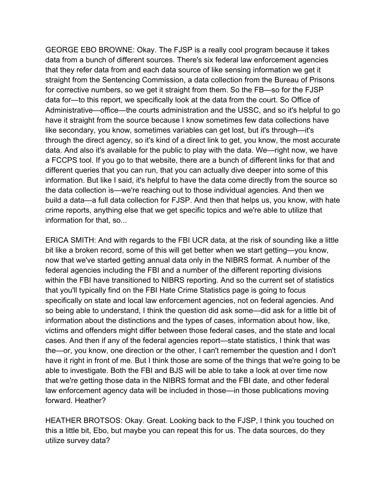GEORGE EBO BROWNE: Okay. The FJSP is a really cool program because it takes data from a bunch of different sources. There's six federal law enforcement agencies that they refer data from and each data source of like sensing information we get it straight from the Sentencing Commission, a data collection from the Bureau of Prisons for corrective numbers, so we get it straight from them. So the FB—so for the FJSP data for—to this report, we specifically look at the data from the court. So Office of Administrative—office—the courts administration and the USSC, and so it's helpful to go have it straight from the source because I know sometimes few data collections have like secondary, you know, sometimes variables can get lost, but it's through—it's through the direct agency, so it's kind of a direct link to get, you know, the most accurate data. And also it's available for the public to play with the data. We—right now, we have a FCCPS tool. If you go to that website, there are a bunch of different links for that and different queries that you can run, that you can actually dive deeper into some of this information. But like I said, it's helpful to have the data come directly from the source so the data collection is—we're reaching out to those individual agencies. And then we build a data—a full data collection for FJSP. And then that helps us, you know, with hate crime reports, anything else that we get specific topics and we're able to utilize that information for that, so...

ERICA SMITH: And with regards to the FBI UCR data, at the risk of sounding like a little bit like a broken record, some of this will get better when we start getting—you know, now that we've started getting annual data only in the NIBRS format. A number of the federal agencies including the FBI and a number of the different reporting divisions within the FBI have transitioned to NIBRS reporting. And so the current set of statistics that you'll typically find on the FBI Hate Crime Statistics page is going to focus specifically on state and local law enforcement agencies, not on federal agencies. And so being able to understand, I think the question did ask some—did ask for a little bit of information about the distinctions and the types of cases, information about how, like, victims and offenders might differ between those federal cases, and the state and local cases. And then if any of the federal agencies report—state statistics, I think that was the—or, you know, one direction or the other, I can't remember the question and I don't have it right in front of me. But I think those are some of the things that we're going to be able to investigate. Both the FBI and BJS will be able to take a look at over time now that we're getting those data in the NIBRS format and the FBI date, and other federal law enforcement agency data will be included in those—in those publications moving forward. Heather?

HEATHER BROTSOS: Okay. Great. Looking back to the FJSP, I think you touched on this a little bit, Ebo, but maybe you can repeat this for us. The data sources, do they utilize survey data?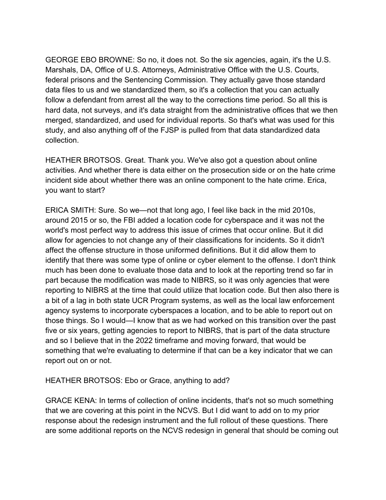GEORGE EBO BROWNE: So no, it does not. So the six agencies, again, it's the U.S. Marshals, DA, Office of U.S. Attorneys, Administrative Office with the U.S. Courts, federal prisons and the Sentencing Commission. They actually gave those standard data files to us and we standardized them, so it's a collection that you can actually follow a defendant from arrest all the way to the corrections time period. So all this is hard data, not surveys, and it's data straight from the administrative offices that we then merged, standardized, and used for individual reports. So that's what was used for this study, and also anything off of the FJSP is pulled from that data standardized data collection.

HEATHER BROTSOS. Great. Thank you. We've also got a question about online activities. And whether there is data either on the prosecution side or on the hate crime incident side about whether there was an online component to the hate crime. Erica, you want to start?

ERICA SMITH: Sure. So we—not that long ago, I feel like back in the mid 2010s, around 2015 or so, the FBI added a location code for cyberspace and it was not the world's most perfect way to address this issue of crimes that occur online. But it did allow for agencies to not change any of their classifications for incidents. So it didn't affect the offense structure in those uniformed definitions. But it did allow them to identify that there was some type of online or cyber element to the offense. I don't think much has been done to evaluate those data and to look at the reporting trend so far in part because the modification was made to NIBRS, so it was only agencies that were reporting to NIBRS at the time that could utilize that location code. But then also there is a bit of a lag in both state UCR Program systems, as well as the local law enforcement agency systems to incorporate cyberspaces a location, and to be able to report out on those things. So I would—I know that as we had worked on this transition over the past five or six years, getting agencies to report to NIBRS, that is part of the data structure and so I believe that in the 2022 timeframe and moving forward, that would be something that we're evaluating to determine if that can be a key indicator that we can report out on or not.

HEATHER BROTSOS: Ebo or Grace, anything to add?

GRACE KENA: In terms of collection of online incidents, that's not so much something that we are covering at this point in the NCVS. But I did want to add on to my prior response about the redesign instrument and the full rollout of these questions. There are some additional reports on the NCVS redesign in general that should be coming out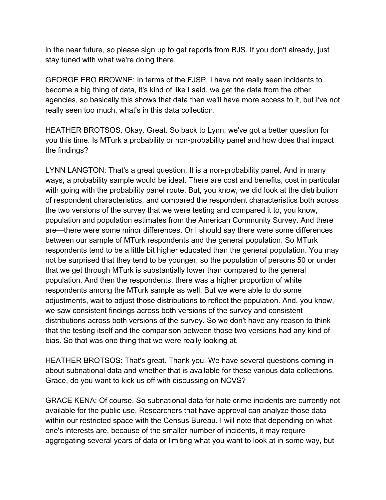in the near future, so please sign up to get reports from BJS. If you don't already, just stay tuned with what we're doing there.

GEORGE EBO BROWNE: In terms of the FJSP, I have not really seen incidents to become a big thing of data, it's kind of like I said, we get the data from the other agencies, so basically this shows that data then we'll have more access to it, but I've not really seen too much, what's in this data collection.

HEATHER BROTSOS. Okay. Great. So back to Lynn, we've got a better question for you this time. Is MTurk a probability or non-probability panel and how does that impact the findings?

LYNN LANGTON: That's a great question. It is a non-probability panel. And in many ways, a probability sample would be ideal. There are cost and benefits, cost in particular with going with the probability panel route. But, you know, we did look at the distribution of respondent characteristics, and compared the respondent characteristics both across the two versions of the survey that we were testing and compared it to, you know, population and population estimates from the American Community Survey. And there are—there were some minor differences. Or I should say there were some differences between our sample of MTurk respondents and the general population. So MTurk respondents tend to be a little bit higher educated than the general population. You may not be surprised that they tend to be younger, so the population of persons 50 or under that we get through MTurk is substantially lower than compared to the general population. And then the respondents, there was a higher proportion of white respondents among the MTurk sample as well. But we were able to do some adjustments, wait to adjust those distributions to reflect the population. And, you know, we saw consistent findings across both versions of the survey and consistent distributions across both versions of the survey. So we don't have any reason to think that the testing itself and the comparison between those two versions had any kind of bias. So that was one thing that we were really looking at.

HEATHER BROTSOS: That's great. Thank you. We have several questions coming in about subnational data and whether that is available for these various data collections. Grace, do you want to kick us off with discussing on NCVS?

GRACE KENA: Of course. So subnational data for hate crime incidents are currently not available for the public use. Researchers that have approval can analyze those data within our restricted space with the Census Bureau. I will note that depending on what one's interests are, because of the smaller number of incidents, it may require aggregating several years of data or limiting what you want to look at in some way, but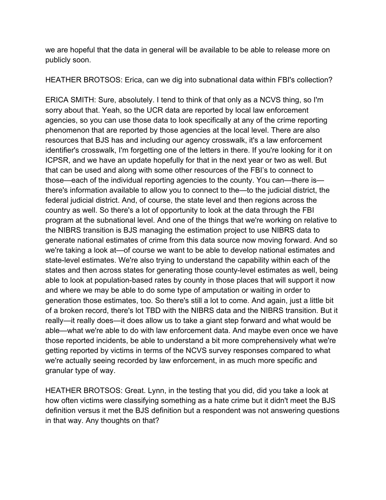we are hopeful that the data in general will be available to be able to release more on publicly soon.

HEATHER BROTSOS: Erica, can we dig into subnational data within FBI's collection?

ERICA SMITH: Sure, absolutely. I tend to think of that only as a NCVS thing, so I'm sorry about that. Yeah, so the UCR data are reported by local law enforcement agencies, so you can use those data to look specifically at any of the crime reporting phenomenon that are reported by those agencies at the local level. There are also resources that BJS has and including our agency crosswalk, it's a law enforcement identifier's crosswalk, I'm forgetting one of the letters in there. If you're looking for it on ICPSR, and we have an update hopefully for that in the next year or two as well. But that can be used and along with some other resources of the FBI's to connect to those—each of the individual reporting agencies to the county. You can—there is there's information available to allow you to connect to the—to the judicial district, the federal judicial district. And, of course, the state level and then regions across the country as well. So there's a lot of opportunity to look at the data through the FBI program at the subnational level. And one of the things that we're working on relative to the NIBRS transition is BJS managing the estimation project to use NIBRS data to generate national estimates of crime from this data source now moving forward. And so we're taking a look at—of course we want to be able to develop national estimates and state-level estimates. We're also trying to understand the capability within each of the states and then across states for generating those county-level estimates as well, being able to look at population-based rates by county in those places that will support it now and where we may be able to do some type of amputation or waiting in order to generation those estimates, too. So there's still a lot to come. And again, just a little bit of a broken record, there's lot TBD with the NIBRS data and the NIBRS transition. But it really—it really does—it does allow us to take a giant step forward and what would be able—what we're able to do with law enforcement data. And maybe even once we have those reported incidents, be able to understand a bit more comprehensively what we're getting reported by victims in terms of the NCVS survey responses compared to what we're actually seeing recorded by law enforcement, in as much more specific and granular type of way.

HEATHER BROTSOS: Great. Lynn, in the testing that you did, did you take a look at how often victims were classifying something as a hate crime but it didn't meet the BJS definition versus it met the BJS definition but a respondent was not answering questions in that way. Any thoughts on that?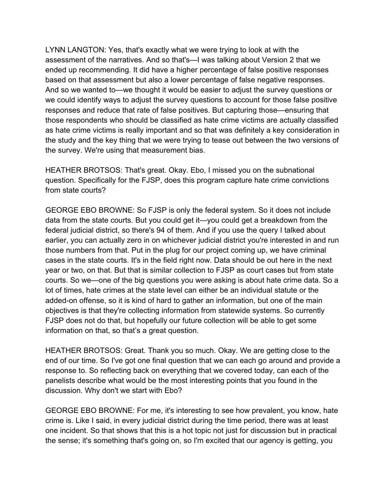LYNN LANGTON: Yes, that's exactly what we were trying to look at with the assessment of the narratives. And so that's—I was talking about Version 2 that we ended up recommending. It did have a higher percentage of false positive responses based on that assessment but also a lower percentage of false negative responses. And so we wanted to—we thought it would be easier to adjust the survey questions or we could identify ways to adjust the survey questions to account for those false positive responses and reduce that rate of false positives. But capturing those—ensuring that those respondents who should be classified as hate crime victims are actually classified as hate crime victims is really important and so that was definitely a key consideration in the study and the key thing that we were trying to tease out between the two versions of the survey. We're using that measurement bias.

HEATHER BROTSOS: That's great. Okay. Ebo, I missed you on the subnational question. Specifically for the FJSP, does this program capture hate crime convictions from state courts?

GEORGE EBO BROWNE: So FJSP is only the federal system. So it does not include data from the state courts. But you could get it—you could get a breakdown from the federal judicial district, so there's 94 of them. And if you use the query I talked about earlier, you can actually zero in on whichever judicial district you're interested in and run those numbers from that. Put in the plug for our project coming up, we have criminal cases in the state courts. It's in the field right now. Data should be out here in the next year or two, on that. But that is similar collection to FJSP as court cases but from state courts. So we—one of the big questions you were asking is about hate crime data. So a lot of times, hate crimes at the state level can either be an individual statute or the added-on offense, so it is kind of hard to gather an information, but one of the main objectives is that they're collecting information from statewide systems. So currently FJSP does not do that, but hopefully our future collection will be able to get some information on that, so that's a great question.

HEATHER BROTSOS: Great. Thank you so much. Okay. We are getting close to the end of our time. So I've got one final question that we can each go around and provide a response to. So reflecting back on everything that we covered today, can each of the panelists describe what would be the most interesting points that you found in the discussion. Why don't we start with Ebo?

GEORGE EBO BROWNE: For me, it's interesting to see how prevalent, you know, hate crime is. Like I said, in every judicial district during the time period, there was at least one incident. So that shows that this is a hot topic not just for discussion but in practical the sense; it's something that's going on, so I'm excited that our agency is getting, you